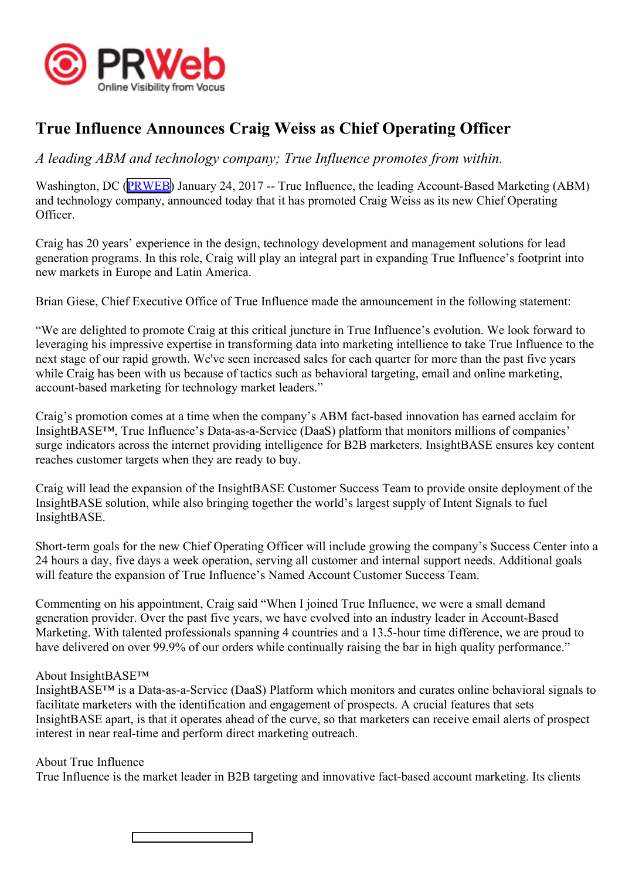

## **True Influence Announces Craig Weiss as Chief Operating Officer**

A leading ABM and technology company; True Influence promotes from within.

Washington, DC ([PRWEB](http://www.prweb.com)) January 24, 2017 -- True Influence, the leading Account-Based Marketing (ABM) and technology company, announced today that it has promoted Craig Weiss as its new Chief Operating Officer.

Craig has <sup>20</sup> years' experience in the design, technology development and managemen<sup>t</sup> solutions for lead generation programs. In this role, Craig will <sup>p</sup>lay an integral par<sup>t</sup> in expanding True Influence's footprint into new markets in Europe and Latin America.

Brian Giese, Chief Executive Office of True Influence made the announcement in the following statement:

"We are delighted to promote Craig at this critical juncture in True Influence's evolution. We look forward to leveraging his impressive expertise in transforming data into marketing intellience to take True Influence to the next stage of our rapid growth. We've seen increased sales for each quarter for more than the pas<sup>t</sup> five years while Craig has been with us because of tactics such as behavioral targeting, email and online marketing, account-based marketing for technology market leaders."

Craig's promotion comes at <sup>a</sup> time when the company's ABM fact-based innovation has earned acclaim for InsightBASE™, True Influence's Data-as-a-Service (DaaS) <sup>p</sup>latform that monitors millions of companies' surge indicators across the internet providing intelligence for B2B marketers. InsightBASE ensures key content reaches customer targets when they are ready to buy.

Craig will lead the expansion of the InsightBASE Customer Success Team to provide onsite deployment of the InsightBASE solution, while also bringing together the world's largest supply of Intent Signals to fuel InsightBASE.

Short-term goals for the new Chief Operating Officer will include growing the company's Success Center into <sup>a</sup> <sup>24</sup> hours <sup>a</sup> day, five days <sup>a</sup> week operation, serving all customer and internal suppor<sup>t</sup> needs. Additional goals will feature the expansion of True Influence's Named Account Customer Success Team.

Commenting on his appointment, Craig said "When <sup>I</sup> joined True Influence, we were <sup>a</sup> small demand generation provider. Over the pas<sup>t</sup> five years, we have evolved into an industry leader in Account-Based Marketing. With talented professionals spanning <sup>4</sup> countries and <sup>a</sup> 13.5-hour time difference, we are proud to have delivered on over 99.9% of our orders while continually raising the bar in high quality performance."

## About InsightBASE™

InsightBASE™ is <sup>a</sup> Data-as-a-Service (DaaS) Platform which monitors and curates online behavioral signals to facilitate marketers with the identification and engagemen<sup>t</sup> of prospects. <sup>A</sup> crucial features that sets InsightBASE apart, is that it operates ahead of the curve, so that marketers can receive email alerts of prospec<sup>t</sup> interest in near real-time and perform direct marketing outreach.

## About True Influence

True Influence is the market leader in B2B targeting and innovative fact-based account marketing. Its clients